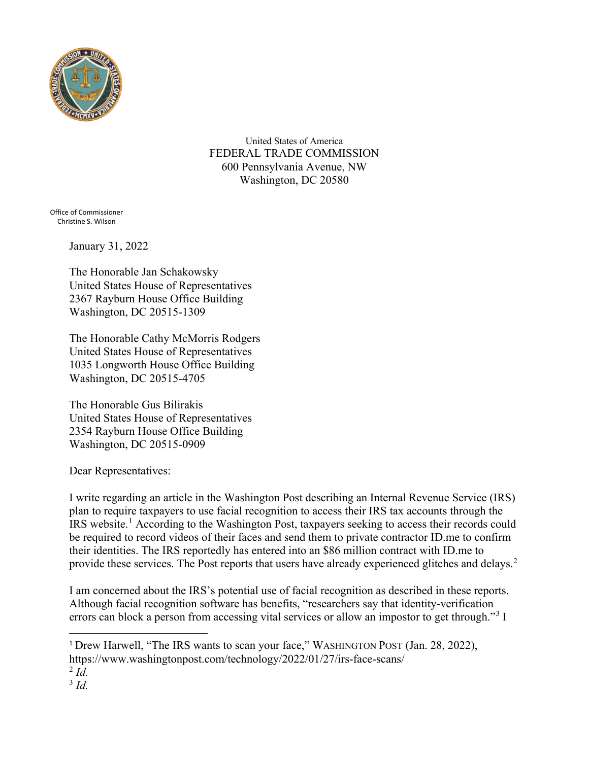

United States of America FEDERAL TRADE COMMISSION 600 Pennsylvania Avenue, NW Washington, DC 20580

Office of Commissioner Christine S. Wilson

January 31, 2022

The Honorable Jan Schakowsky United States House of Representatives 2367 Rayburn House Office Building Washington, DC 20515-1309

The Honorable Cathy McMorris Rodgers United States House of Representatives 1035 Longworth House Office Building Washington, DC 20515-4705

The Honorable Gus Bilirakis United States House of Representatives 2354 Rayburn House Office Building Washington, DC 20515-0909

Dear Representatives:

I write regarding an article in the Washington Post describing an Internal Revenue Service (IRS) plan to require taxpayers to use facial recognition to access their IRS tax accounts through the IRS website.<sup>1</sup> According to the Washington Post, taxpayers seeking to access their records could be required to record videos of their faces and send them to private contractor ID.me to confirm their identities. The IRS reportedly has entered into an \$86 million contract with ID.me to provide these services. The Post reports that users have already experienced glitches and delays.<sup>2</sup>

I am concerned about the IRS's potential use of facial recognition as described in these reports. Although facial recognition software has benefits, "researchers say that identity-verification errors can block a person from accessing vital services or allow an impostor to get through."<sup>3</sup> I

<sup>&</sup>lt;sup>1</sup> Drew Harwell, "The IRS wants to scan your face," WASHINGTON POST (Jan. 28, 2022), https://www.washingtonpost.com/technology/2022/01/27/irs-face-scans/

 $^{2}$  *Id.* 

<sup>3</sup> *Id.*